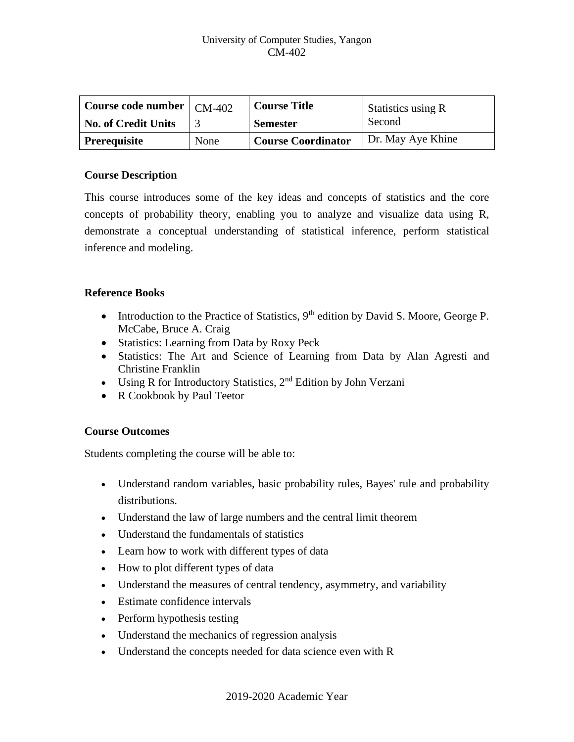| Course code number $\mid$ CM-402 |      | <b>Course Title</b>       | <b>Statistics using R</b> |
|----------------------------------|------|---------------------------|---------------------------|
| <b>No. of Credit Units</b>       |      | <b>Semester</b>           | Second                    |
| <b>Prerequisite</b>              | None | <b>Course Coordinator</b> | Dr. May Aye Khine         |

#### **Course Description**

This course introduces some of the key ideas and concepts of statistics and the core concepts of probability theory, enabling you to analyze and visualize data using R, demonstrate a conceptual understanding of statistical inference, perform statistical inference and modeling.

## **Reference Books**

- Introduction to the Practice of Statistics,  $9<sup>th</sup>$  edition by David S. Moore, George P. McCabe, Bruce A. Craig
- Statistics: Learning from Data by Roxy Peck
- Statistics: The Art and Science of Learning from Data by Alan Agresti and Christine Franklin
- Using R for Introductory Statistics,  $2<sup>nd</sup>$  Edition by John Verzani
- R Cookbook by Paul Teetor

## **Course Outcomes**

Students completing the course will be able to:

- Understand random variables, basic probability rules, Bayes' rule and probability distributions.
- Understand the law of large numbers and the central limit theorem
- Understand the fundamentals of statistics
- Learn how to work with different types of data
- How to plot different types of data
- Understand the measures of central tendency, asymmetry, and variability
- Estimate confidence intervals
- Perform hypothesis testing
- Understand the mechanics of regression analysis
- Understand the concepts needed for data science even with R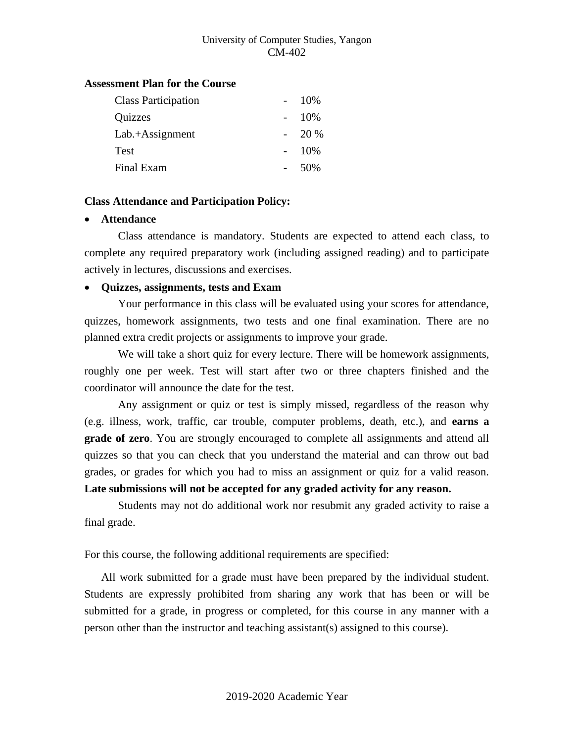#### **Assessment Plan for the Course**

| <b>Class Participation</b> | 10\% |
|----------------------------|------|
| Quizzes                    | 10%  |
| $Lab.+Assignment$          | 20 % |
| <b>Test</b>                | 10%  |
| Final Exam                 | 50%  |

#### **Class Attendance and Participation Policy:**

## • **Attendance**

Class attendance is mandatory. Students are expected to attend each class, to complete any required preparatory work (including assigned reading) and to participate actively in lectures, discussions and exercises.

## • **Quizzes, assignments, tests and Exam**

Your performance in this class will be evaluated using your scores for attendance, quizzes, homework assignments, two tests and one final examination. There are no planned extra credit projects or assignments to improve your grade.

We will take a short quiz for every lecture. There will be homework assignments, roughly one per week. Test will start after two or three chapters finished and the coordinator will announce the date for the test.

Any assignment or quiz or test is simply missed, regardless of the reason why (e.g. illness, work, traffic, car trouble, computer problems, death, etc.), and **earns a grade of zero**. You are strongly encouraged to complete all assignments and attend all quizzes so that you can check that you understand the material and can throw out bad grades, or grades for which you had to miss an assignment or quiz for a valid reason.

# **Late submissions will not be accepted for any graded activity for any reason.**

Students may not do additional work nor resubmit any graded activity to raise a final grade.

For this course, the following additional requirements are specified:

All work submitted for a grade must have been prepared by the individual student. Students are expressly prohibited from sharing any work that has been or will be submitted for a grade, in progress or completed, for this course in any manner with a person other than the instructor and teaching assistant(s) assigned to this course).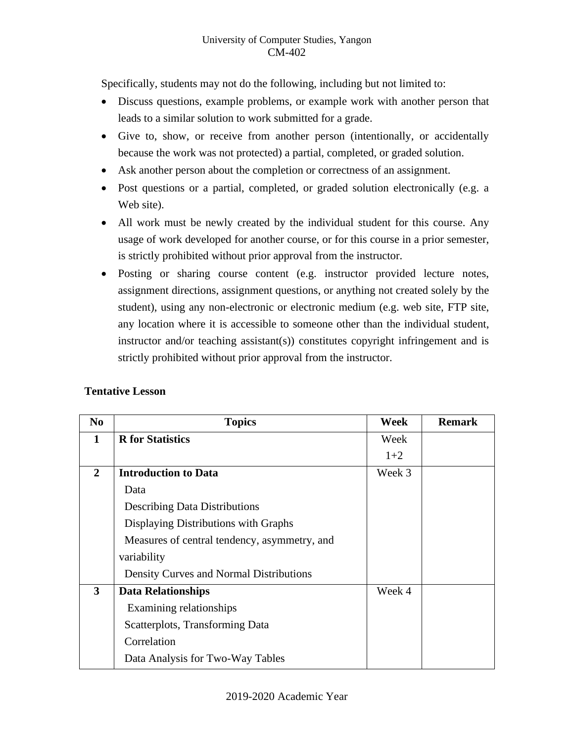Specifically, students may not do the following, including but not limited to:

- Discuss questions, example problems, or example work with another person that leads to a similar solution to work submitted for a grade.
- Give to, show, or receive from another person (intentionally, or accidentally because the work was not protected) a partial, completed, or graded solution.
- Ask another person about the completion or correctness of an assignment.
- Post questions or a partial, completed, or graded solution electronically (e.g. a Web site).
- All work must be newly created by the individual student for this course. Any usage of work developed for another course, or for this course in a prior semester, is strictly prohibited without prior approval from the instructor.
- Posting or sharing course content (e.g. instructor provided lecture notes, assignment directions, assignment questions, or anything not created solely by the student), using any non-electronic or electronic medium (e.g. web site, FTP site, any location where it is accessible to someone other than the individual student, instructor and/or teaching assistant(s)) constitutes copyright infringement and is strictly prohibited without prior approval from the instructor.

| N <sub>0</sub> | <b>Topics</b>                                | Week   | <b>Remark</b> |
|----------------|----------------------------------------------|--------|---------------|
| 1              | <b>R</b> for Statistics                      | Week   |               |
|                |                                              | $1+2$  |               |
| $\mathbf{2}$   | <b>Introduction to Data</b>                  | Week 3 |               |
|                | Data                                         |        |               |
|                | <b>Describing Data Distributions</b>         |        |               |
|                | Displaying Distributions with Graphs         |        |               |
|                | Measures of central tendency, asymmetry, and |        |               |
|                | variability                                  |        |               |
|                | Density Curves and Normal Distributions      |        |               |
| 3              | <b>Data Relationships</b>                    | Week 4 |               |
|                | Examining relationships                      |        |               |
|                | Scatterplots, Transforming Data              |        |               |
|                | Correlation                                  |        |               |
|                | Data Analysis for Two-Way Tables             |        |               |

# **Tentative Lesson**